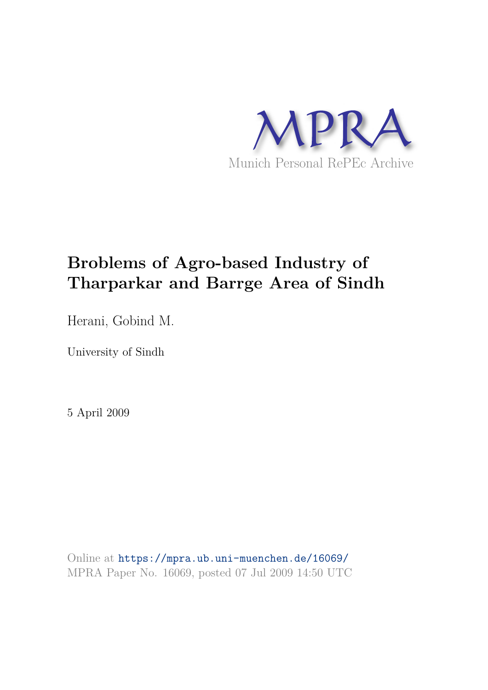

# **Broblems of Agro-based Industry of Tharparkar and Barrge Area of Sindh**

Herani, Gobind M.

University of Sindh

5 April 2009

Online at https://mpra.ub.uni-muenchen.de/16069/ MPRA Paper No. 16069, posted 07 Jul 2009 14:50 UTC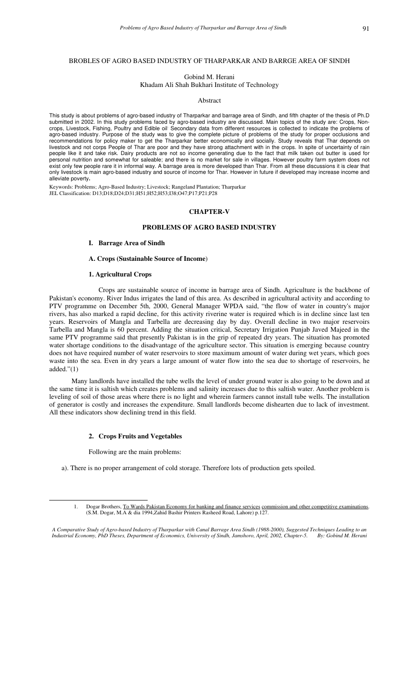# BROBLES OF AGRO BASED INDUSTRY OF THARPARKAR AND BARRGE AREA OF SINDH

Gobind M. Herani

Khadam Ali Shah Bukhari Institute of Technology

#### Abstract

This study is about problems of agro-based industry of Tharparkar and barrage area of Sindh, and fifth chapter of the thesis of Ph.D submitted in 2002. In this study problems faced by agro-based industry are discussed. Main topics of the study are: Crops, Noncrops, Livestock, Fishing, Poultry and Edible oil Secondary data from different resources is collected to indicate the problems of agro-based industry. Purpose of the study was to give the complete picture of problems of the study for proper occlusions and recommendations for policy maker to get the Tharparkar better economically and socially. Study reveals that Thar depends on livestock and not corps People of Thar are poor and they have strong attachment with in the crops. In spite of uncertainty of rain people like it and take risk. Dairy products are not so income generating due to the fact that milk taken out butter is used for personal nutrition and somewhat for saleable; and there is no market for sale in villages. However poultry farm system does not exist only few people rare it in informal way. A barrage area is more developed than Thar. From all these discussions it is clear that only livestock is main agro-based industry and source of income for Thar. However in future if developed may increase income and alleviate poverty**.** 

Keywords: Problems; Agro-Based Industry; Livestock; Rangeland Plantation; Tharparkar JEL Classification: D13;D18;D24;D31;H51;H52;H53;I38;O47;P17;P21;P28

# **CHAPTER-V**

## **PROBLEMS OF AGRO BASED INDUSTRY**

#### **I. Barrage Area of Sindh**

# **A. Crops (Sustainable Source of Income**)

# **1. Agricultural Crops**

 Crops are sustainable source of income in barrage area of Sindh. Agriculture is the backbone of Pakistan's economy. River Indus irrigates the land of this area. As described in agricultural activity and according to PTV programme on December 5th, 2000, General Manager WPDA said, "the flow of water in country's major rivers, has also marked a rapid decline, for this activity riverine water is required which is in decline since last ten years. Reservoirs of Mangla and Tarbella are decreasing day by day. Overall decline in two major reservoirs Tarbella and Mangla is 60 percent. Adding the situation critical, Secretary Irrigation Punjab Javed Majeed in the same PTV programme said that presently Pakistan is in the grip of repeated dry years. The situation has promoted water shortage conditions to the disadvantage of the agriculture sector. This situation is emerging because country does not have required number of water reservoirs to store maximum amount of water during wet years, which goes waste into the sea. Even in dry years a large amount of water flow into the sea due to shortage of reservoirs, he added." $(1)$ 

 Many landlords have installed the tube wells the level of under ground water is also going to be down and at the same time it is saltish which creates problems and salinity increases due to this saltish water. Another problem is leveling of soil of those areas where there is no light and wherein farmers cannot install tube wells. The installation of generator is costly and increases the expenditure. Small landlords become dishearten due to lack of investment. All these indicators show declining trend in this field.

## **2. Crops Fruits and Vegetables**

Following are the main problems:

-

a). There is no proper arrangement of cold storage. Therefore lots of production gets spoiled.

<sup>1.</sup> Dogar Brothers, To Wards Pakistan Economy for banking and finance services commission and other competitive examinations. (S.M. Dogar, M.A & dia 1994,Zahid Bashir Printers Rasheed Road, Lahore) p.127.

*A Comparative Study of Agro-based Industry of Tharparkar with Canal Barrage Area Sindh (1988-2000), Suggested Techniques Leading to an Industrial Economy, PhD Theses, Department of Economics, University of Sindh, Jamshoro, April, 2002, Chapter-5. By: Gobind M. Herani*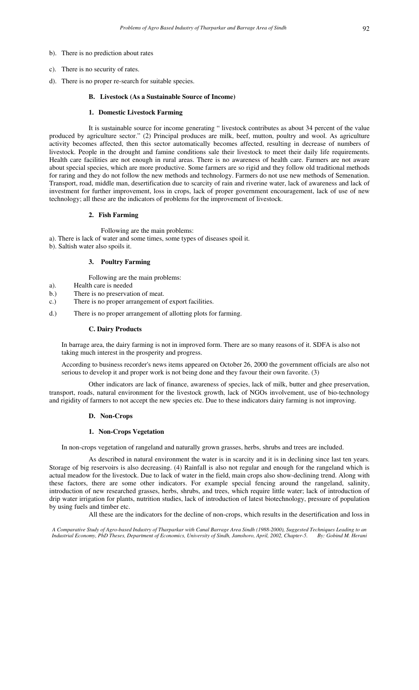- b). There is no prediction about rates
- c). There is no security of rates.
- d). There is no proper re-search for suitable species.

## **B. Livestock (As a Sustainable Source of Income)**

## **1. Domestic Livestock Farming**

It is sustainable source for income generating " livestock contributes as about 34 percent of the value produced by agriculture sector." (2) Principal produces are milk, beef, mutton, poultry and wool. As agriculture activity becomes affected, then this sector automatically becomes affected, resulting in decrease of numbers of livestock. People in the drought and famine conditions sale their livestock to meet their daily life requirements. Health care facilities are not enough in rural areas. There is no awareness of health care. Farmers are not aware about special species, which are more productive. Some farmers are so rigid and they follow old traditional methods for raring and they do not follow the new methods and technology. Farmers do not use new methods of Semenation. Transport, road, middle man, desertification due to scarcity of rain and riverine water, lack of awareness and lack of investment for further improvement, loss in crops, lack of proper government encouragement, lack of use of new technology; all these are the indicators of problems for the improvement of livestock.

#### **2. Fish Farming**

Following are the main problems:

- a). There is lack of water and some times, some types of diseases spoil it.
- b). Saltish water also spoils it.

# **3. Poultry Farming**

Following are the main problems:

- a). Health care is needed
- b.) There is no preservation of meat.
- c.) There is no proper arrangement of export facilities.
- d.) There is no proper arrangement of allotting plots for farming.

#### **C. Dairy Products**

In barrage area, the dairy farming is not in improved form. There are so many reasons of it. SDFA is also not taking much interest in the prosperity and progress.

According to business recorder's news items appeared on October 26, 2000 the government officials are also not serious to develop it and proper work is not being done and they favour their own favorite. (3)

Other indicators are lack of finance, awareness of species, lack of milk, butter and ghee preservation, transport, roads, natural environment for the livestock growth, lack of NGOs involvement, use of bio-technology and rigidity of farmers to not accept the new species etc. Due to these indicators dairy farming is not improving.

#### **D. Non-Crops**

## **1. Non-Crops Vegetation**

In non-crops vegetation of rangeland and naturally grown grasses, herbs, shrubs and trees are included.

As described in natural environment the water is in scarcity and it is in declining since last ten years. Storage of big reservoirs is also decreasing. (4) Rainfall is also not regular and enough for the rangeland which is actual meadow for the livestock. Due to lack of water in the field, main crops also show-declining trend. Along with these factors, there are some other indicators. For example special fencing around the rangeland, salinity, introduction of new researched grasses, herbs, shrubs, and trees, which require little water; lack of introduction of drip water irrigation for plants, nutrition studies, lack of introduction of latest biotechnology, pressure of population by using fuels and timber etc.

All these are the indicators for the decline of non-crops, which results in the desertification and loss in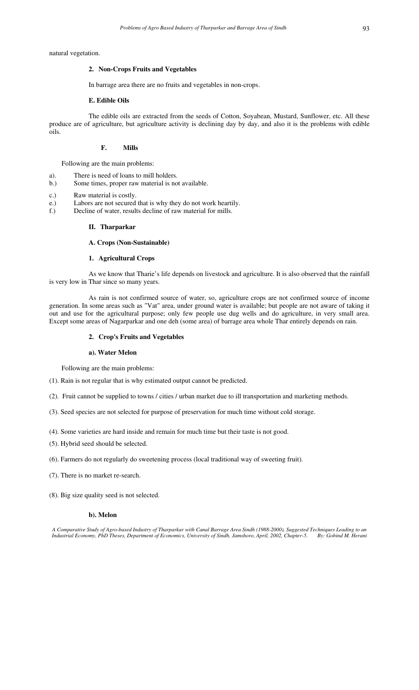natural vegetation.

# **2. Non-Crops Fruits and Vegetables**

In barrage area there are no fruits and vegetables in non-crops.

## **E. Edible Oils**

The edible oils are extracted from the seeds of Cotton, Soyabean, Mustard, Sunflower, etc. All these produce are of agriculture, but agriculture activity is declining day by day, and also it is the problems with edible oils.

## **F. Mills**

Following are the main problems:

- a). There is need of loans to mill holders.
- b.) Some times, proper raw material is not available.
- c.) Raw material is costly.
- e.) Labors are not secured that is why they do not work heartily.
- f.) Decline of water, results decline of raw material for mills.

#### **II. Tharparkar**

## **A. Crops (Non-Sustainable)**

# **1. Agricultural Crops**

As we know that Tharie's life depends on livestock and agriculture. It is also observed that the rainfall is very low in Thar since so many years.

As rain is not confirmed source of water, so, agriculture crops are not confirmed source of income generation. In some areas such as "Vat" area, under ground water is available; but people are not aware of taking it out and use for the agricultural purpose; only few people use dug wells and do agriculture, in very small area. Except some areas of Nagarparkar and one deh (some area) of barrage area whole Thar entirely depends on rain.

# **2. Crop's Fruits and Vegetables**

## **a). Water Melon**

Following are the main problems:

- (1). Rain is not regular that is why estimated output cannot be predicted.
- (2). Fruit cannot be supplied to towns / cities / urban market due to ill transportation and marketing methods.
- (3). Seed species are not selected for purpose of preservation for much time without cold storage.
- (4). Some varieties are hard inside and remain for much time but their taste is not good.
- (5). Hybrid seed should be selected.
- (6). Farmers do not regularly do sweetening process (local traditional way of sweeting fruit).
- (7). There is no market re-search.
- (8). Big size quality seed is not selected.

## **b). Melon**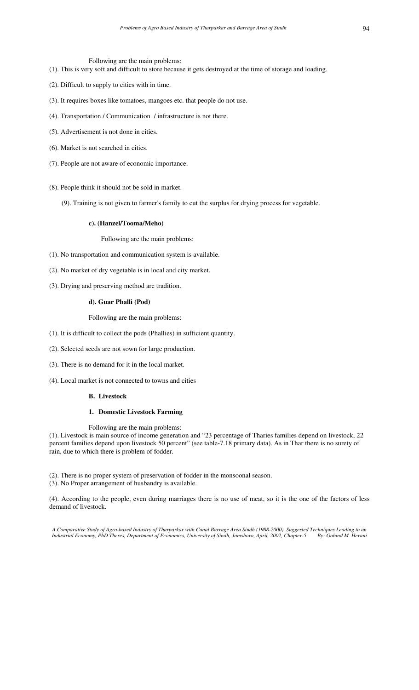Following are the main problems:

- (1). This is very soft and difficult to store because it gets destroyed at the time of storage and loading.
- (2). Difficult to supply to cities with in time.
- (3). It requires boxes like tomatoes, mangoes etc. that people do not use.
- (4). Transportation / Communication / infrastructure is not there.
- (5). Advertisement is not done in cities.
- (6). Market is not searched in cities.
- (7). People are not aware of economic importance.
- (8). People think it should not be sold in market.
	- (9). Training is not given to farmer's family to cut the surplus for drying process for vegetable.

# **c). (Hanzel/Tooma/Meho)**

Following are the main problems:

- (1). No transportation and communication system is available.
- (2). No market of dry vegetable is in local and city market.
- (3). Drying and preserving method are tradition.

# **d). Guar Phalli (Pod)**

Following are the main problems:

- (1). It is difficult to collect the pods (Phallies) in sufficient quantity.
- (2). Selected seeds are not sown for large production.
- (3). There is no demand for it in the local market.
- (4). Local market is not connected to towns and cities

## **B. Livestock**

## **1. Domestic Livestock Farming**

Following are the main problems:

(1). Livestock is main source of income generation and "23 percentage of Tharies families depend on livestock, 22 percent families depend upon livestock 50 percent" (see table-7.18 primary data). As in Thar there is no surety of rain, due to which there is problem of fodder.

(2). There is no proper system of preservation of fodder in the monsoonal season.

(3). No Proper arrangement of husbandry is available.

(4). According to the people, even during marriages there is no use of meat, so it is the one of the factors of less demand of livestock.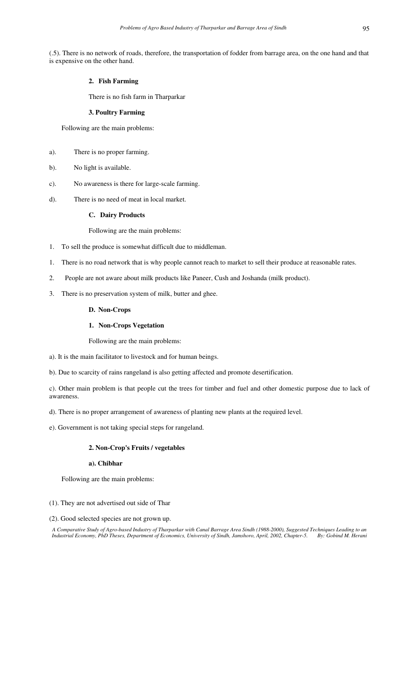(.5). There is no network of roads, therefore, the transportation of fodder from barrage area, on the one hand and that is expensive on the other hand.

# **2. Fish Farming**

There is no fish farm in Tharparkar

# **3. Poultry Farming**

Following are the main problems:

- a). There is no proper farming.
- b). No light is available.
- c). No awareness is there for large-scale farming.
- d). There is no need of meat in local market.

# **C. Dairy Products**

Following are the main problems:

- 1. To sell the produce is somewhat difficult due to middleman.
- 1. There is no road network that is why people cannot reach to market to sell their produce at reasonable rates.
- 2. People are not aware about milk products like Paneer, Cush and Joshanda (milk product).
- 3. There is no preservation system of milk, butter and ghee.

#### **D. Non-Crops**

## **1. Non-Crops Vegetation**

Following are the main problems:

a). It is the main facilitator to livestock and for human beings.

b). Due to scarcity of rains rangeland is also getting affected and promote desertification.

c). Other main problem is that people cut the trees for timber and fuel and other domestic purpose due to lack of awareness.

d). There is no proper arrangement of awareness of planting new plants at the required level.

e). Government is not taking special steps for rangeland.

# **2. Non-Crop's Fruits / vegetables**

## **a). Chibhar**

Following are the main problems:

- (1). They are not advertised out side of Thar
- (2). Good selected species are not grown up.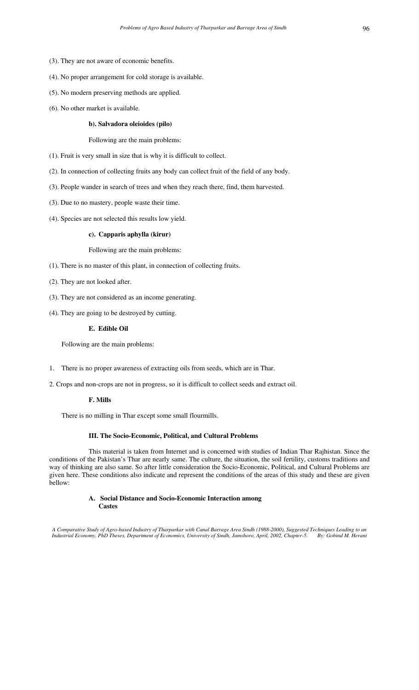- (3). They are not aware of economic benefits.
- (4). No proper arrangement for cold storage is available.
- (5). No modern preserving methods are applied.
- (6). No other market is available.

## **b). Salvadora oleioides (pilo)**

Following are the main problems:

(1). Fruit is very small in size that is why it is difficult to collect.

(2). In connection of collecting fruits any body can collect fruit of the field of any body.

(3). People wander in search of trees and when they reach there, find, them harvested.

- (3). Due to no mastery, people waste their time.
- (4). Species are not selected this results low yield.

## **c). Capparis aphylla (kirur)**

Following are the main problems:

- (1). There is no master of this plant, in connection of collecting fruits.
- (2). They are not looked after.
- (3). They are not considered as an income generating.
- (4). They are going to be destroyed by cutting.

# **E. Edible Oil**

Following are the main problems:

- 1. There is no proper awareness of extracting oils from seeds, which are in Thar.
- 2. Crops and non-crops are not in progress, so it is difficult to collect seeds and extract oil.

# **F. Mills**

There is no milling in Thar except some small flourmills.

## **III. The Socio-Economic, Political, and Cultural Problems**

This material is taken from Internet and is concerned with studies of Indian Thar Rajhistan. Since the conditions of the Pakistan's Thar are nearly same. The culture, the situation, the soil fertility, customs traditions and way of thinking are also same. So after little consideration the Socio-Economic, Political, and Cultural Problems are given here. These conditions also indicate and represent the conditions of the areas of this study and these are given bellow:

## **A. Social Distance and Socio-Economic Interaction among Castes**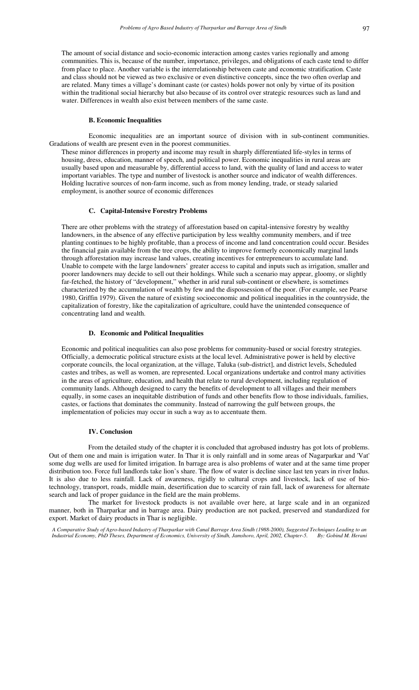The amount of social distance and socio-economic interaction among castes varies regionally and among communities. This is, because of the number, importance, privileges, and obligations of each caste tend to differ from place to place. Another variable is the interrelationship between caste and economic stratification. Caste and class should not be viewed as two exclusive or even distinctive concepts, since the two often overlap and are related. Many times a village's dominant caste (or castes) holds power not only by virtue of its position within the traditional social hierarchy but also because of its control over strategic resources such as land and water. Differences in wealth also exist between members of the same caste.

## **B. Economic Inequalities**

Economic inequalities are an important source of division with in sub-continent communities. Gradations of wealth are present even in the poorest communities.

These minor differences in property and income may result in sharply differentiated life-styles in terms of housing, dress, education, manner of speech, and political power. Economic inequalities in rural areas are usually based upon and measurable by, differential access to land, with the quality of land and access to water important variables. The type and number of livestock is another source and indicator of wealth differences. Holding lucrative sources of non-farm income, such as from money lending, trade, or steady salaried employment, is another source of economic differences

## **C. Capital-Intensive Forestry Problems**

There are other problems with the strategy of afforestation based on capital-intensive forestry by wealthy landowners, in the absence of any effective participation by less wealthy community members, and if tree planting continues to be highly profitable, than a process of income and land concentration could occur. Besides the financial gain available from the tree crops, the ability to improve formerly economically marginal lands through afforestation may increase land values, creating incentives for entrepreneurs to accumulate land. Unable to compete with the large landowners' greater access to capital and inputs such as irrigation, smaller and poorer landowners may decide to sell out their holdings. While such a scenario may appear, gloomy, or slightly far-fetched, the history of "development," whether in arid rural sub-continent or elsewhere, is sometimes characterized by the accumulation of wealth by few and the dispossession of the poor. (For example, see Pearse 1980, Griffin 1979). Given the nature of existing socioeconomic and political inequalities in the countryside, the capitalization of forestry, like the capitalization of agriculture, could have the unintended consequence of concentrating land and wealth.

# **D. Economic and Political Inequalities**

Economic and political inequalities can also pose problems for community-based or social forestry strategies. Officially, a democratic political structure exists at the local level. Administrative power is held by elective corporate councils, the local organization, at the village, Taluka (sub-district], and district levels, Scheduled castes and tribes, as well as women, are represented. Local organizations undertake and control many activities in the areas of agriculture, education, and health that relate to rural development, including regulation of community lands. Although designed to carry the benefits of development to all villages and their members equally, in some cases an inequitable distribution of funds and other benefits flow to those individuals, families, castes, or factions that dominates the community. Instead of narrowing the gulf between groups, the implementation of policies may occur in such a way as to accentuate them.

# **IV. Conclusion**

From the detailed study of the chapter it is concluded that agrobased industry has got lots of problems. Out of them one and main is irrigation water. In Thar it is only rainfall and in some areas of Nagarparkar and 'Vat' some dug wells are used for limited irrigation. In barrage area is also problems of water and at the same time proper distribution too. Force full landlords take lion's share. The flow of water is decline since last ten years in river Indus. It is also due to less rainfall. Lack of awareness, rigidly to cultural crops and livestock, lack of use of biotechnology, transport, roads, middle main, desertification due to scarcity of rain fall, lack of awareness for alternate search and lack of proper guidance in the field are the main problems.

The market for livestock products is not available over here, at large scale and in an organized manner, both in Tharparkar and in barrage area. Dairy production are not packed, preserved and standardized for export. Market of dairy products in Thar is negligible.